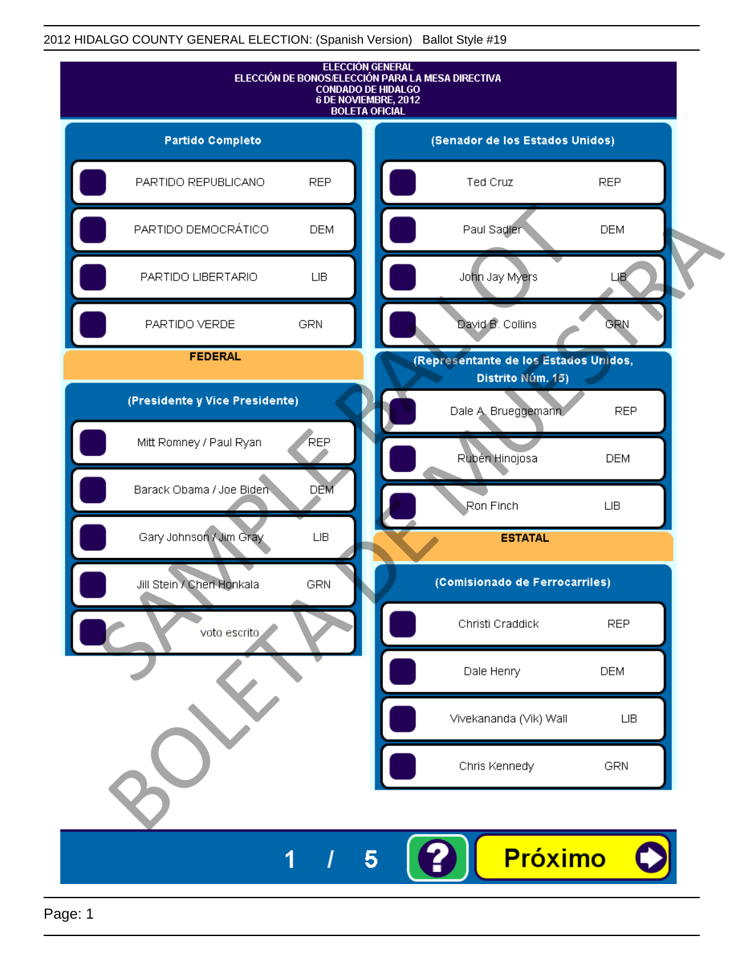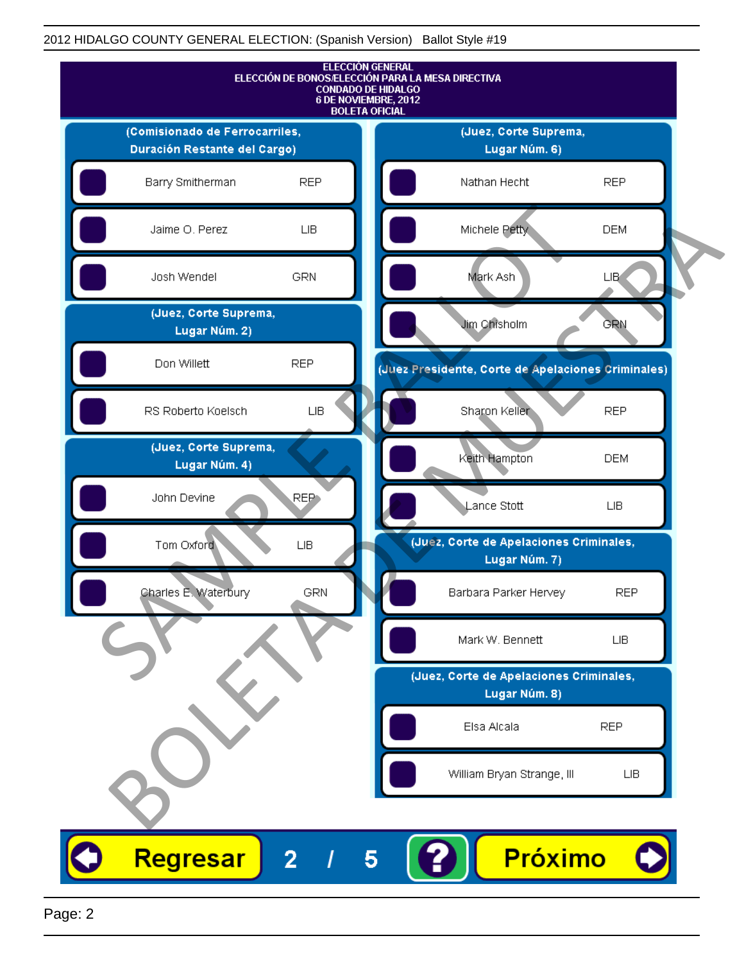

Page: 2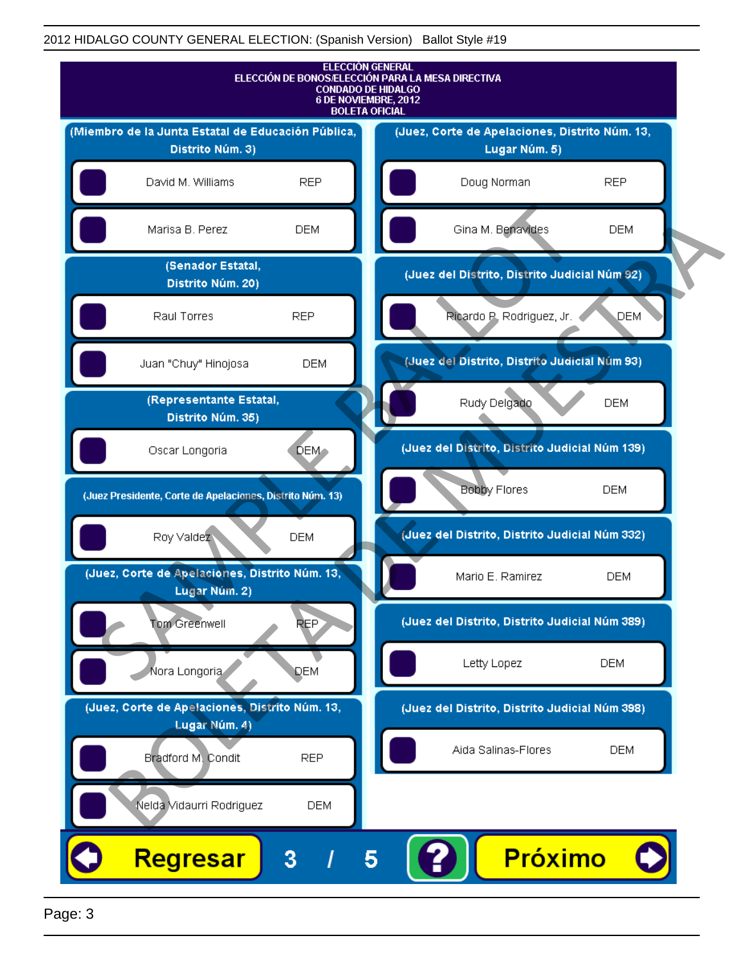

Page: 3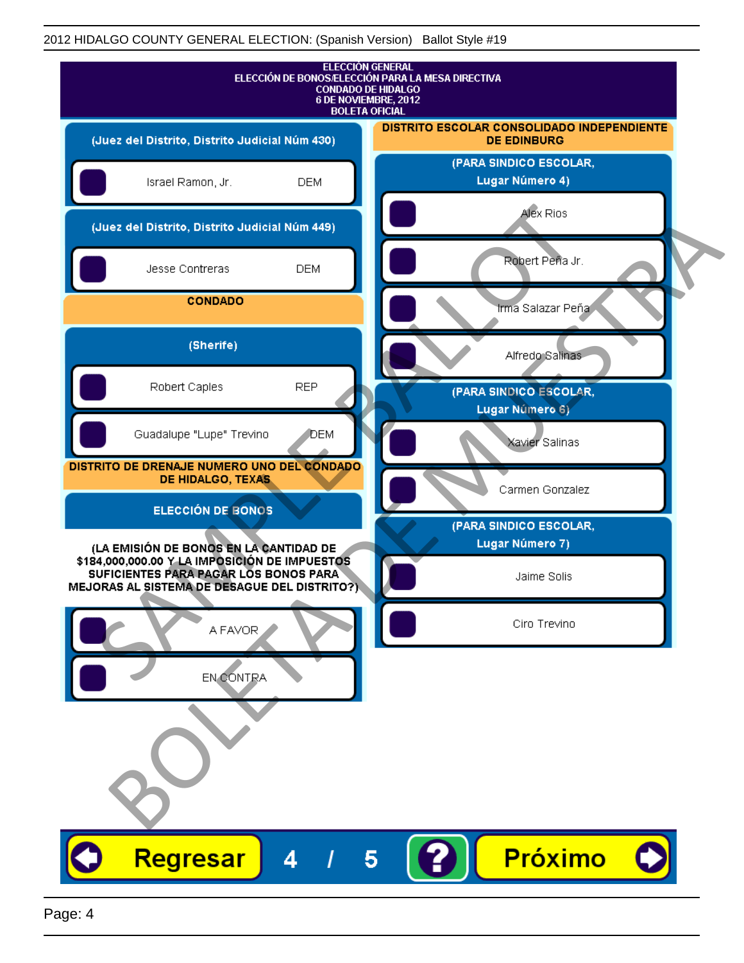| <b>ELECCIÓN GENERAL</b><br>ELECCIÓN DE BONOS/ELECCIÓN PARA LA MESA DIRECTIVA<br><b>CONDADO DE HIDALGO</b><br>6 DE NOVIEMBRE, 2012<br><b>BOLETA OFICIAL</b>                       |                                                                  |
|----------------------------------------------------------------------------------------------------------------------------------------------------------------------------------|------------------------------------------------------------------|
| (Juez del Distrito, Distrito Judicial Núm 430)                                                                                                                                   | DISTRITO ESCOLAR CONSOLIDADO INDEPENDIENTE<br><b>DE EDINBURG</b> |
| Israel Ramon, Jr.<br><b>DEM</b>                                                                                                                                                  | (PARA SINDICO ESCOLAR,<br>Lugar Número 4)                        |
| (Juez del Distrito, Distrito Judicial Núm 449)                                                                                                                                   | Alex Rios                                                        |
| Jesse Contreras<br><b>DEM</b>                                                                                                                                                    | Robert Peña Jr.                                                  |
| <b>CONDADO</b>                                                                                                                                                                   | Irma Salazar Peña                                                |
| (Sherife)                                                                                                                                                                        | Alfredo Salinas                                                  |
| <b>REP</b><br>Robert Caples                                                                                                                                                      | (PARA SINDICO ESCOLAR,<br>Lugar Número 6)                        |
| Guadalupe "Lupe" Trevino<br>DEM                                                                                                                                                  | Xavier Salinas                                                   |
| DISTRITO DE DRENAJE NUMERO UNO DEL CONDADO<br>DE HIDALGO, TEXAS                                                                                                                  | Carmen Gonzalez                                                  |
| ELECCIÓN DE BONOS                                                                                                                                                                | (PARA SINDICO ESCOLAR,                                           |
| (LA EMISIÓN DE BONOS EN LA CANTIDAD DE<br>\$184,000,000.00 Y LA IMPOSICIÓN DE IMPUESTOS<br>SUFICIENTES PARA PAGAR LOS BONOS PARA<br>MEJORAS AL SISTEMA DE DESAGUE DEL DISTRITO?) | Lugar Número 7)<br>Jaime Solis                                   |
| A FAVOR                                                                                                                                                                          | Ciro Trevino                                                     |
| EN CONTRA                                                                                                                                                                        |                                                                  |
|                                                                                                                                                                                  |                                                                  |
|                                                                                                                                                                                  |                                                                  |
|                                                                                                                                                                                  |                                                                  |
| Regresar<br>4                                                                                                                                                                    | Próximo<br>5                                                     |
|                                                                                                                                                                                  |                                                                  |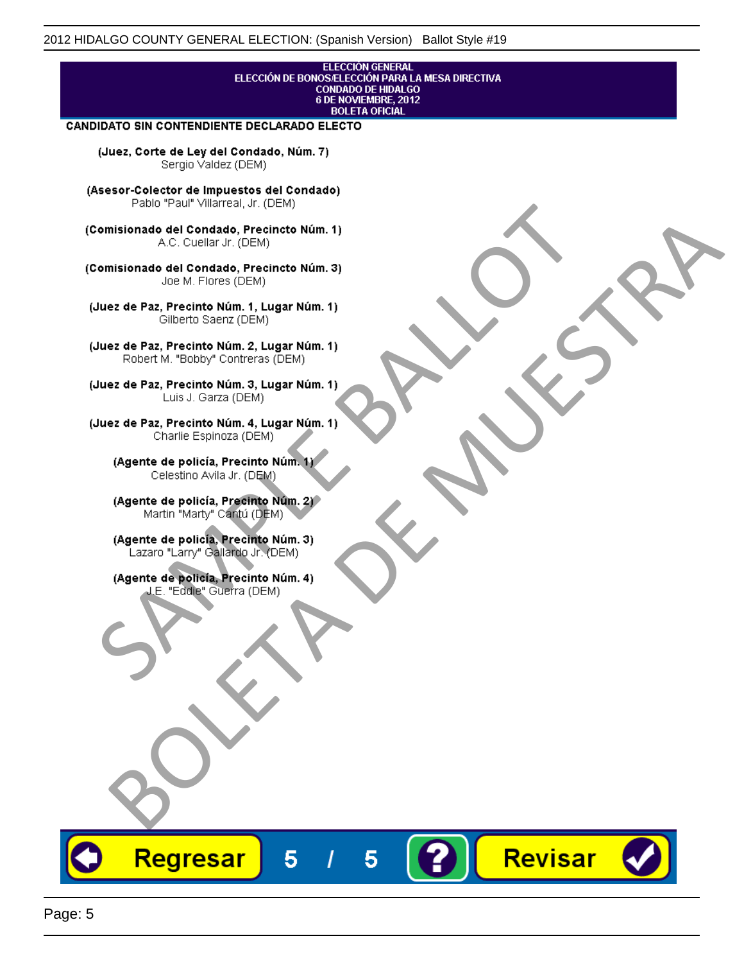#### **ELECCIÓN GENERAL** ELECCIÓN DE BONOS/ELECCIÓN PARA LA MESA DIRECTIVA CONDADO DE HIDALGO<br>6 DE NOVIEMBRE, 2012 **BOLETA OFICIAL**

Revisar

#### CANDIDATO SIN CONTENDIENTE DECLARADO ELECTO

(Juez, Corte de Ley del Condado, Núm. 7) Sergio Valdez (DEM)

(Asesor-Colector de Impuestos del Condado)

Fallo Fall Willdrea, J.I. (DEM)<br>
Consistionado el Condado, Precincto Núm. 1)<br>
A.C. Cuellar Jr. (DEM)<br>
Ullez de Paz, Precinto Núm. 1)<br>
Juez de Paz, Precinto Núm. 1, Lugar Núm. 1)<br>
Gilberto Sentr (DEM)<br>
Robert M. "Bobby" Con misionado del Condiado, Precincto Núm. 1)<br>
Andro del Condiado, Precincto Núm. 3)<br>
ez de Paz, Precinto Núm. 21<br>
algo M. Picer Lo Saerz, (CIEM)<br>
algo M. Picer Lo Saerz, (CIEM)<br>
algo M. Picer Lo Saerz, (CIEM)<br>
ez de Paz, Prec

Regresar

5

5

Page: 5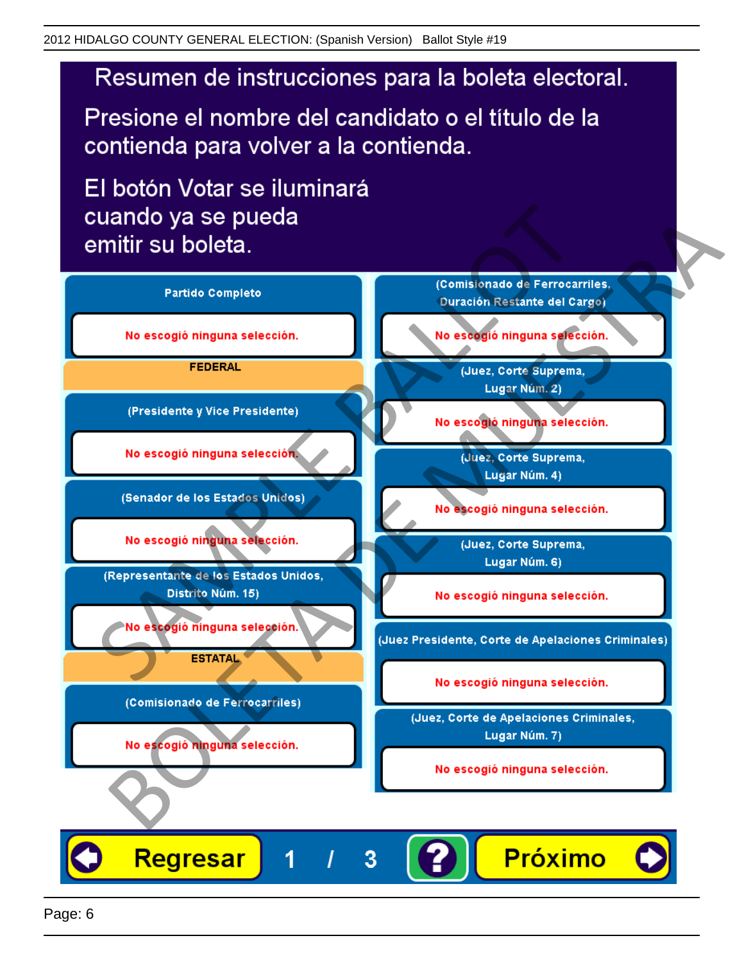# Resumen de instrucciones para la boleta electoral.

Presione el nombre del candidato o el título de la contienda para volver a la contienda.

El botón Votar se iluminará

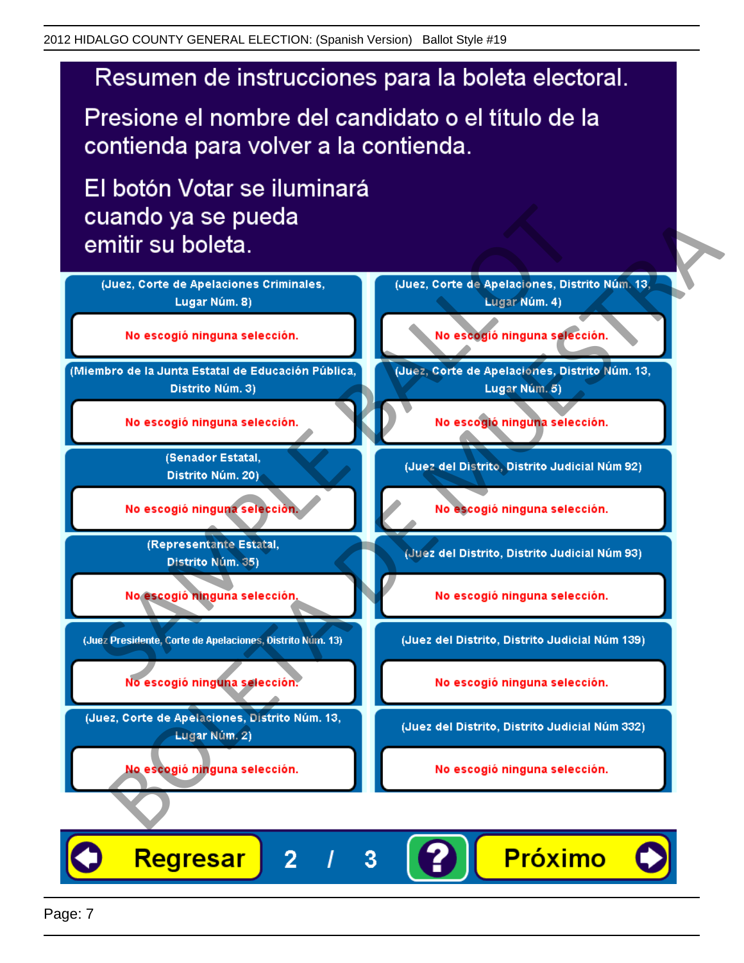# Resumen de instrucciones para la boleta electoral.

Presione el nombre del candidato o el título de la contienda para volver a la contienda.

El botón Votar se iluminará